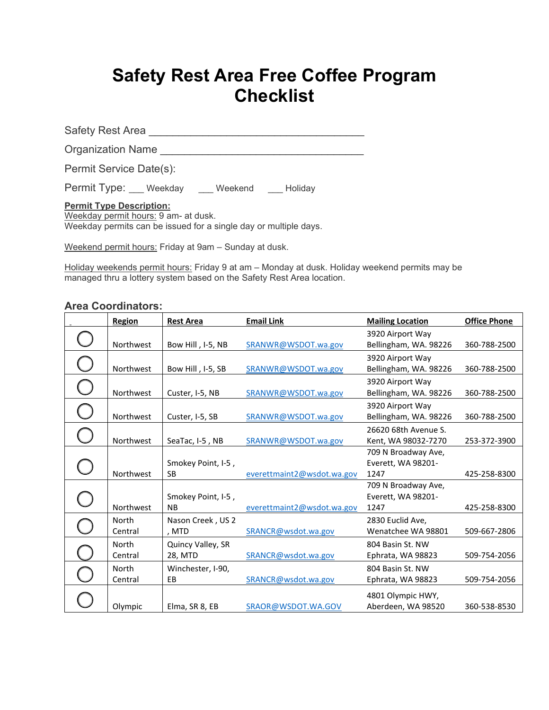## **Safety Rest Area Free Coffee Program Checklist**

Safety Rest Area \_\_\_\_\_\_\_\_\_\_\_\_\_\_\_\_\_\_\_\_\_\_\_\_\_\_\_\_\_\_\_\_\_\_\_\_

Organization Name

Permit Service Date(s):

Permit Type: Weekday \_\_\_ Weekend \_\_\_ Holiday

**Permit Type Description:** 

Weekday permit hours: 9 am- at dusk. Weekday permits can be issued for a single day or multiple days.

Weekend permit hours: Friday at 9am – Sunday at dusk.

Holiday weekends permit hours: Friday 9 at am – Monday at dusk. Holiday weekend permits may be managed thru a lottery system based on the Safety Rest Area location.

## **Area Coordinators:**

| <b>Region</b>    | <b>Rest Area</b>                | <b>Email Link</b>          | <b>Mailing Location</b>                           | <b>Office Phone</b> |
|------------------|---------------------------------|----------------------------|---------------------------------------------------|---------------------|
| Northwest        | Bow Hill, I-5, NB               | SRANWR@WSDOT.wa.gov        | 3920 Airport Way<br>Bellingham, WA. 98226         | 360-788-2500        |
| Northwest        | Bow Hill, I-5, SB               | SRANWR@WSDOT.wa.gov        | 3920 Airport Way<br>Bellingham, WA. 98226         | 360-788-2500        |
| Northwest        | Custer, I-5, NB                 | SRANWR@WSDOT.wa.gov        | 3920 Airport Way<br>Bellingham, WA. 98226         | 360-788-2500        |
| Northwest        | Custer, I-5, SB                 | SRANWR@WSDOT.wa.gov        | 3920 Airport Way<br>Bellingham, WA. 98226         | 360-788-2500        |
| Northwest        | SeaTac, I-5, NB                 | SRANWR@WSDOT.wa.gov        | 26620 68th Avenue S.<br>Kent, WA 98032-7270       | 253-372-3900        |
| Northwest        | Smokey Point, I-5,<br><b>SB</b> | everettmaint2@wsdot.wa.gov | 709 N Broadway Ave,<br>Everett, WA 98201-<br>1247 | 425-258-8300        |
| Northwest        | Smokey Point, I-5,<br><b>NB</b> | everettmaint2@wsdot.wa.gov | 709 N Broadway Ave,<br>Everett, WA 98201-<br>1247 | 425-258-8300        |
| North<br>Central | Nason Creek, US 2<br>, MTD      | SRANCR@wsdot.wa.gov        | 2830 Euclid Ave,<br>Wenatchee WA 98801            | 509-667-2806        |
| North<br>Central | Quincy Valley, SR<br>28, MTD    | SRANCR@wsdot.wa.gov        | 804 Basin St. NW<br>Ephrata, WA 98823             | 509-754-2056        |
| North<br>Central | Winchester, I-90,<br>EB         | SRANCR@wsdot.wa.gov        | 804 Basin St. NW<br>Ephrata, WA 98823             | 509-754-2056        |
| Olympic          | Elma, SR 8, EB                  | SRAOR@WSDOT.WA.GOV         | 4801 Olympic HWY,<br>Aberdeen, WA 98520           | 360-538-8530        |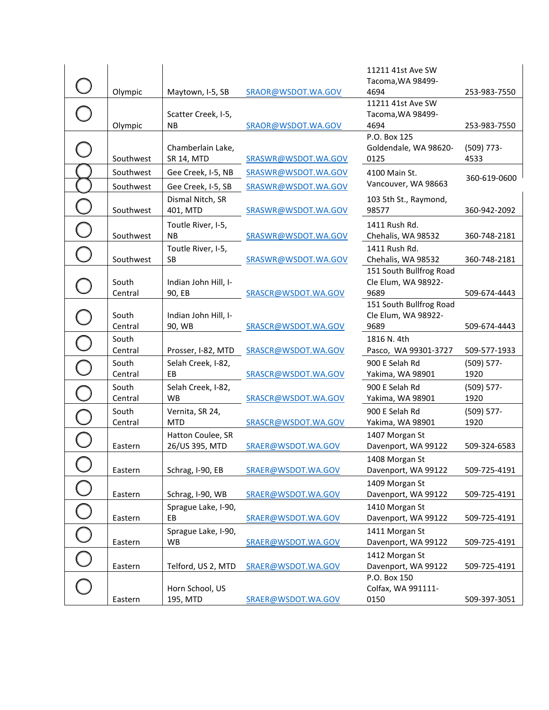|           |                             |                     | 11211 41st Ave SW                   |               |
|-----------|-----------------------------|---------------------|-------------------------------------|---------------|
| Olympic   | Maytown, I-5, SB            | SRAOR@WSDOT.WA.GOV  | Tacoma, WA 98499-<br>4694           | 253-983-7550  |
|           |                             |                     | 11211 41st Ave SW                   |               |
|           | Scatter Creek, I-5,         |                     | Tacoma, WA 98499-                   |               |
| Olympic   | <b>NB</b>                   | SRAOR@WSDOT.WA.GOV  | 4694                                | 253-983-7550  |
|           |                             |                     | P.O. Box 125                        |               |
|           | Chamberlain Lake,           |                     | Goldendale, WA 98620-               | $(509)$ 773-  |
| Southwest | SR 14, MTD                  | SRASWR@WSDOT.WA.GOV | 0125                                | 4533          |
| Southwest | Gee Creek, I-5, NB          | SRASWR@WSDOT.WA.GOV | 4100 Main St.                       | 360-619-0600  |
| Southwest | Gee Creek, I-5, SB          | SRASWR@WSDOT.WA.GOV | Vancouver, WA 98663                 |               |
|           | Dismal Nitch, SR            |                     | 103 5th St., Raymond,               |               |
| Southwest | 401, MTD                    | SRASWR@WSDOT.WA.GOV | 98577                               | 360-942-2092  |
|           | Toutle River, I-5,          |                     | 1411 Rush Rd.                       |               |
| Southwest | <b>NB</b>                   | SRASWR@WSDOT.WA.GOV | Chehalis, WA 98532                  | 360-748-2181  |
|           | Toutle River, I-5,          |                     | 1411 Rush Rd.                       |               |
| Southwest | <b>SB</b>                   | SRASWR@WSDOT.WA.GOV | Chehalis, WA 98532                  | 360-748-2181  |
|           |                             |                     | 151 South Bullfrog Road             |               |
| South     | Indian John Hill, I-        |                     | Cle Elum, WA 98922-                 |               |
| Central   | 90, EB                      | SRASCR@WSDOT.WA.GOV | 9689                                | 509-674-4443  |
|           |                             |                     | 151 South Bullfrog Road             |               |
| South     | Indian John Hill, I-        |                     | Cle Elum, WA 98922-                 |               |
| Central   | 90, WB                      | SRASCR@WSDOT.WA.GOV | 9689                                | 509-674-4443  |
| South     |                             |                     | 1816 N. 4th                         |               |
| Central   | Prosser, I-82, MTD          | SRASCR@WSDOT.WA.GOV | Pasco, WA 99301-3727                | 509-577-1933  |
| South     | Selah Creek, I-82,<br>EB    |                     | 900 E Selah Rd                      | $(509) 577 -$ |
| Central   |                             | SRASCR@WSDOT.WA.GOV | Yakima, WA 98901                    | 1920          |
| South     | Selah Creek, I-82,          |                     | 900 E Selah Rd                      | $(509) 577 -$ |
| Central   | WB                          | SRASCR@WSDOT.WA.GOV | Yakima, WA 98901                    | 1920          |
| South     | Vernita, SR 24,             |                     | 900 E Selah Rd                      | $(509) 577 -$ |
| Central   | <b>MTD</b>                  | SRASCR@WSDOT.WA.GOV | Yakima, WA 98901                    | 1920          |
|           | Hatton Coulee, SR           |                     | 1407 Morgan St                      |               |
| Eastern   | 26/US 395, MTD              | SRAER@WSDOT.WA.GOV  | Davenport, WA 99122                 | 509-324-6583  |
|           |                             |                     | 1408 Morgan St                      |               |
| Eastern   | Schrag, I-90, EB            | SRAER@WSDOT.WA.GOV  | Davenport, WA 99122                 | 509-725-4191  |
|           |                             |                     | 1409 Morgan St                      |               |
| Eastern   | Schrag, I-90, WB            | SRAER@WSDOT.WA.GOV  | Davenport, WA 99122                 | 509-725-4191  |
|           | Sprague Lake, I-90,         |                     | 1410 Morgan St                      |               |
| Eastern   | EВ                          | SRAER@WSDOT.WA.GOV  | Davenport, WA 99122                 | 509-725-4191  |
|           | Sprague Lake, I-90,         |                     | 1411 Morgan St                      |               |
| Eastern   | WB                          | SRAER@WSDOT.WA.GOV  | Davenport, WA 99122                 | 509-725-4191  |
|           |                             |                     | 1412 Morgan St                      |               |
| Eastern   | Telford, US 2, MTD          | SRAER@WSDOT.WA.GOV  | Davenport, WA 99122<br>P.O. Box 150 | 509-725-4191  |
|           |                             |                     |                                     |               |
|           |                             |                     |                                     |               |
| Eastern   | Horn School, US<br>195, MTD | SRAER@WSDOT.WA.GOV  | Colfax, WA 991111-<br>0150          | 509-397-3051  |